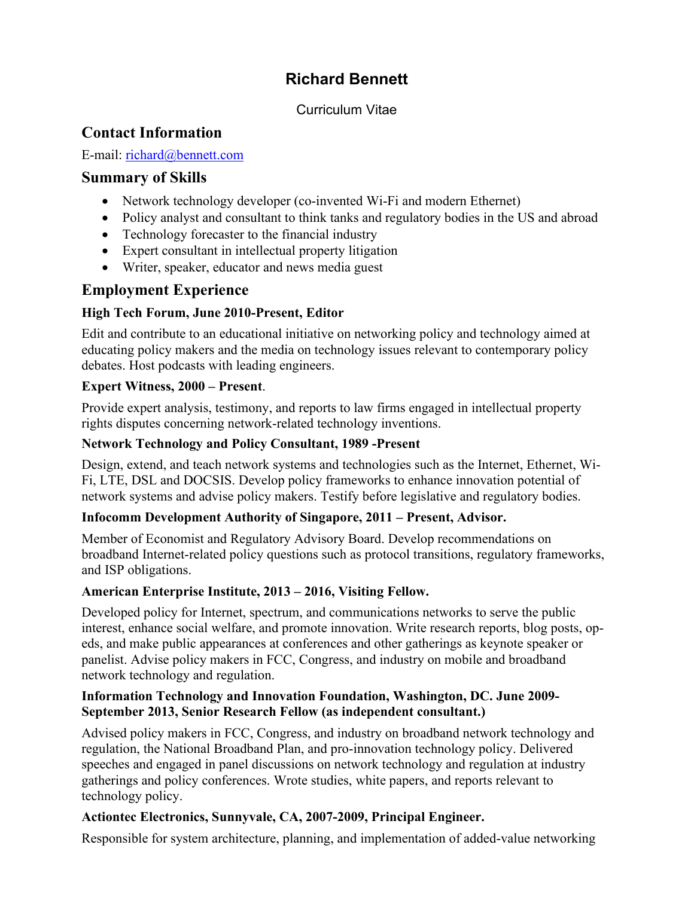# **Richard Bennett**

#### Curriculum Vitae

### **Contact Information**

E-mail: [richard@bennett.com](mailto:richard@bennett.com)

### **Summary of Skills**

- Network technology developer (co-invented Wi-Fi and modern Ethernet)
- Policy analyst and consultant to think tanks and regulatory bodies in the US and abroad
- Technology forecaster to the financial industry
- Expert consultant in intellectual property litigation
- Writer, speaker, educator and news media guest

## **Employment Experience**

#### **High Tech Forum, June 2010-Present, Editor**

Edit and contribute to an educational initiative on networking policy and technology aimed at educating policy makers and the media on technology issues relevant to contemporary policy debates. Host podcasts with leading engineers.

#### **Expert Witness, 2000 – Present**.

Provide expert analysis, testimony, and reports to law firms engaged in intellectual property rights disputes concerning network-related technology inventions.

#### **Network Technology and Policy Consultant, 1989 -Present**

Design, extend, and teach network systems and technologies such as the Internet, Ethernet, Wi-Fi, LTE, DSL and DOCSIS. Develop policy frameworks to enhance innovation potential of network systems and advise policy makers. Testify before legislative and regulatory bodies.

#### **Infocomm Development Authority of Singapore, 2011 – Present, Advisor.**

Member of Economist and Regulatory Advisory Board. Develop recommendations on broadband Internet-related policy questions such as protocol transitions, regulatory frameworks, and ISP obligations.

#### **American Enterprise Institute, 2013 – 2016, Visiting Fellow.**

Developed policy for Internet, spectrum, and communications networks to serve the public interest, enhance social welfare, and promote innovation. Write research reports, blog posts, opeds, and make public appearances at conferences and other gatherings as keynote speaker or panelist. Advise policy makers in FCC, Congress, and industry on mobile and broadband network technology and regulation.

#### **Information Technology and Innovation Foundation, Washington, DC. June 2009- September 2013, Senior Research Fellow (as independent consultant.)**

Advised policy makers in FCC, Congress, and industry on broadband network technology and regulation, the National Broadband Plan, and pro-innovation technology policy. Delivered speeches and engaged in panel discussions on network technology and regulation at industry gatherings and policy conferences. Wrote studies, white papers, and reports relevant to technology policy.

### **Actiontec Electronics, Sunnyvale, CA, 2007-2009, Principal Engineer.**

Responsible for system architecture, planning, and implementation of added-value networking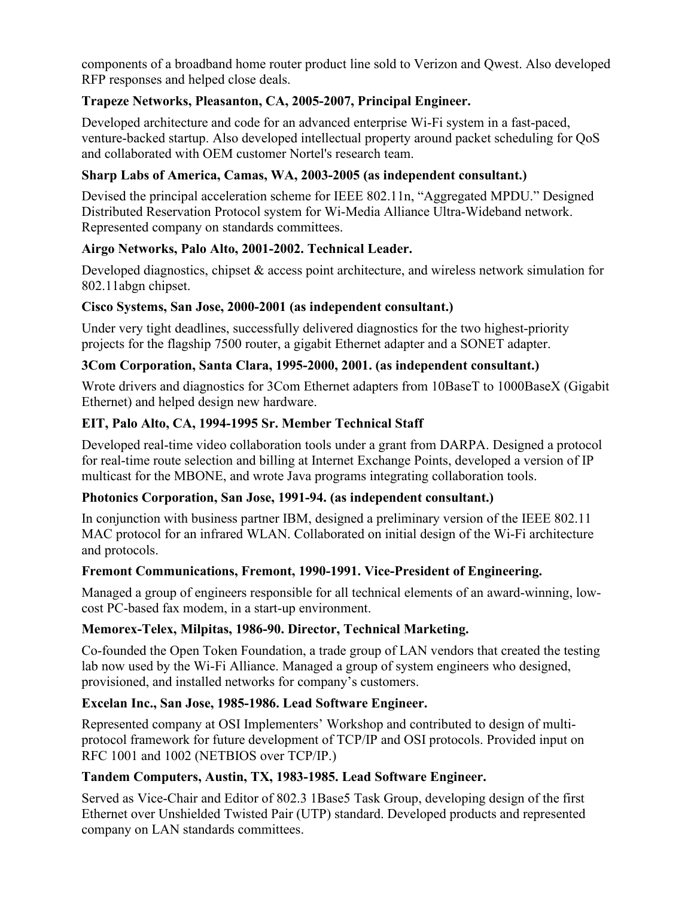components of a broadband home router product line sold to Verizon and Qwest. Also developed RFP responses and helped close deals.

#### **Trapeze Networks, Pleasanton, CA, 2005-2007, Principal Engineer.**

Developed architecture and code for an advanced enterprise Wi-Fi system in a fast-paced, venture-backed startup. Also developed intellectual property around packet scheduling for QoS and collaborated with OEM customer Nortel's research team.

#### **Sharp Labs of America, Camas, WA, 2003-2005 (as independent consultant.)**

Devised the principal acceleration scheme for IEEE 802.11n, "Aggregated MPDU." Designed Distributed Reservation Protocol system for Wi-Media Alliance Ultra-Wideband network. Represented company on standards committees.

#### **Airgo Networks, Palo Alto, 2001-2002. Technical Leader.**

Developed diagnostics, chipset & access point architecture, and wireless network simulation for 802.11abgn chipset.

#### **Cisco Systems, San Jose, 2000-2001 (as independent consultant.)**

Under very tight deadlines, successfully delivered diagnostics for the two highest-priority projects for the flagship 7500 router, a gigabit Ethernet adapter and a SONET adapter.

#### **3Com Corporation, Santa Clara, 1995-2000, 2001. (as independent consultant.)**

Wrote drivers and diagnostics for 3Com Ethernet adapters from 10BaseT to 1000BaseX (Gigabit Ethernet) and helped design new hardware.

#### **EIT, Palo Alto, CA, 1994-1995 Sr. Member Technical Staff**

Developed real-time video collaboration tools under a grant from DARPA. Designed a protocol for real-time route selection and billing at Internet Exchange Points, developed a version of IP multicast for the MBONE, and wrote Java programs integrating collaboration tools.

#### **Photonics Corporation, San Jose, 1991-94. (as independent consultant.)**

In conjunction with business partner IBM, designed a preliminary version of the IEEE 802.11 MAC protocol for an infrared WLAN. Collaborated on initial design of the Wi-Fi architecture and protocols.

#### **Fremont Communications, Fremont, 1990-1991. Vice-President of Engineering.**

Managed a group of engineers responsible for all technical elements of an award-winning, lowcost PC-based fax modem, in a start-up environment.

#### **Memorex-Telex, Milpitas, 1986-90. Director, Technical Marketing.**

Co-founded the Open Token Foundation, a trade group of LAN vendors that created the testing lab now used by the Wi-Fi Alliance. Managed a group of system engineers who designed, provisioned, and installed networks for company's customers.

#### **Excelan Inc., San Jose, 1985-1986. Lead Software Engineer.**

Represented company at OSI Implementers' Workshop and contributed to design of multiprotocol framework for future development of TCP/IP and OSI protocols. Provided input on RFC 1001 and 1002 (NETBIOS over TCP/IP.)

#### **Tandem Computers, Austin, TX, 1983-1985. Lead Software Engineer.**

Served as Vice-Chair and Editor of 802.3 1Base5 Task Group, developing design of the first Ethernet over Unshielded Twisted Pair (UTP) standard. Developed products and represented company on LAN standards committees.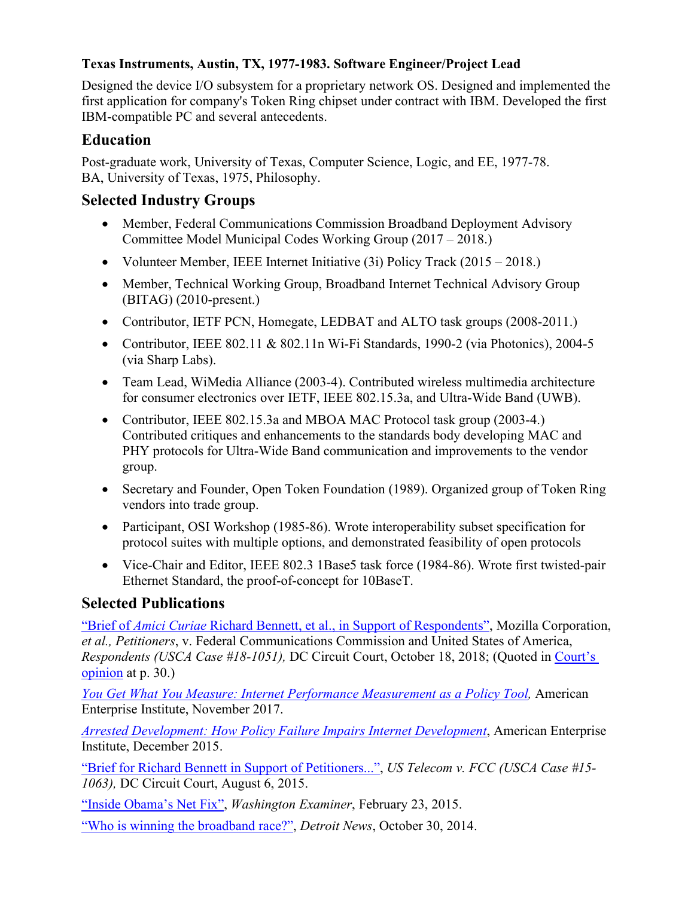#### **Texas Instruments, Austin, TX, 1977-1983. Software Engineer/Project Lead**

Designed the device I/O subsystem for a proprietary network OS. Designed and implemented the first application for company's Token Ring chipset under contract with IBM. Developed the first IBM-compatible PC and several antecedents.

## **Education**

Post-graduate work, University of Texas, Computer Science, Logic, and EE, 1977-78. BA, University of Texas, 1975, Philosophy.

## **Selected Industry Groups**

- Member, Federal Communications Commission Broadband Deployment Advisory Committee Model Municipal Codes Working Group (2017 – 2018.)
- Volunteer Member, IEEE Internet Initiative (3i) Policy Track (2015 2018.)
- Member, Technical Working Group, Broadband Internet Technical Advisory Group (BITAG) (2010-present.)
- Contributor, IETF PCN, Homegate, LEDBAT and ALTO task groups (2008-2011.)
- Contributor, IEEE 802.11 & 802.11n Wi-Fi Standards, 1990-2 (via Photonics), 2004-5 (via Sharp Labs).
- Team Lead, WiMedia Alliance (2003-4). Contributed wireless multimedia architecture for consumer electronics over IETF, IEEE 802.15.3a, and Ultra-Wide Band (UWB).
- Contributor, IEEE 802.15.3a and MBOA MAC Protocol task group (2003-4.) Contributed critiques and enhancements to the standards body developing MAC and PHY protocols for Ultra-Wide Band communication and improvements to the vendor group.
- Secretary and Founder, Open Token Foundation (1989). Organized group of Token Ring vendors into trade group.
- Participant, OSI Workshop (1985-86). Wrote interoperability subset specification for protocol suites with multiple options, and demonstrated feasibility of open protocols
- Vice-Chair and Editor, IEEE 802.3 1Base5 task force (1984-86). Wrote first twisted-pair Ethernet Standard, the proof-of-concept for 10BaseT.

## **Selected Publications**

"Brief of *Amici Curiae* [Richard Bennett, et al., in Support of Respondents",](https://hightechforum.org/wp-content/uploads/2018/10/2018-10-18-Bennett-et-al-Amicus.pdf) Mozilla Corporation, *et al., Petitioners*, v. Federal Communications Commission and United States of America, *Respondents (USCA Case #18-1051),* DC Circuit Court, October 18, 2018; (Quoted in [Court's](https://www.cadc.uscourts.gov/internet/opinions.nsf/FA43C305E2B9A35485258486004F6D0F/$file/18-1051-1808766.pdf)  [opinion](https://www.cadc.uscourts.gov/internet/opinions.nsf/FA43C305E2B9A35485258486004F6D0F/$file/18-1051-1808766.pdf) at p. 30.)

*[You Get What You Measure: Internet Performance Measurement as a Policy Tool,](http://www.aei.org/publication/you-get-what-you-measure-internet-performance-measurement-as-a-policy-tool/)* American Enterprise Institute, November 2017.

*[Arrested Development: How Policy Failure Impairs Internet Development](https://www.aei.org/wp-content/uploads/2015/12/Arrested-development.pdf)*, American Enterprise Institute, December 2015.

["Brief for Richard Bennett in Support of Petitioners...",](http://hightechforum.org/wp-content/uploads/2015/08/bennett-filed.pdf) *US Telecom v. FCC (USCA Case #15- 1063),* DC Circuit Court, August 6, 2015.

["Inside Obama's Net Fix",](http://www.washingtonexaminer.com/inside-obamas-net-fix/article/2560377) *Washington Examiner*, February 23, 2015.

["Who is winning the broadband race?",](http://www.detroitnews.com/story/opinion/2014/10/30/winning-broadband-race/18138407/) *Detroit News*, October 30, 2014.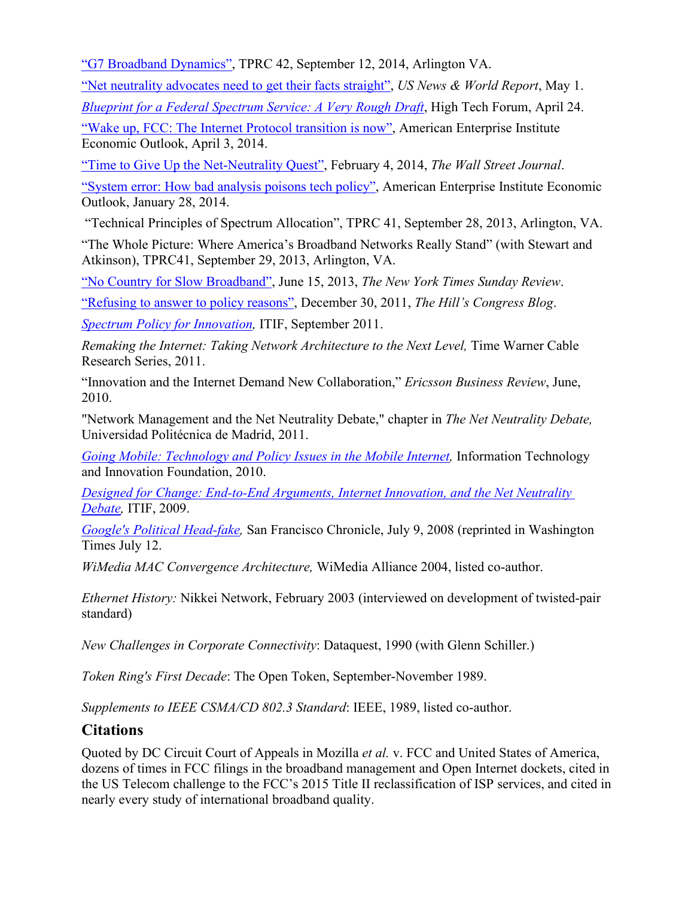["G7 Broadband Dynamics",](http://papers.ssrn.com/sol3/papers.cfm?abstract_id=2418732) TPRC 42, September 12, 2014, Arlington VA.

["Net neutrality advocates need to get their facts straight",](http://www.usnews.com/debate-club/did-the-fccs-net-neutrality-proposal-go-too-far-or-not-far-enough/net-neutrality-advocates-need-to-get-their-facts-straight) *US News & World Report*, May 1.

*[Blueprint for a Federal Spectrum Service: A Very Rough Draft](http://www.hightechforum.org/wp-content/uploads/2014/04/Blueprint-for-a-Federal-Spectrum-Service.pdf)*, High Tech Forum, April 24. ["Wake up, FCC: The Internet Protocol transition is now",](http://www.aei.org/outlook/economics/innovation/technology/wake-up-fcc-the-internet-protocol-transition-is-now/) American Enterprise Institute Economic Outlook, April 3, 2014.

["Time to Give Up the Net-Neutrality Quest",](http://online.wsj.com/news/articles/SB10001424052702303519404579354801141804482) February 4, 2014, *The Wall Street Journal*. ["System error: How bad analysis poisons tech policy",](http://www.aei.org/outlook/economics/innovation/technology/system-error-how-bad-analysis-poisons-tech-policy/) American Enterprise Institute Economic Outlook, January 28, 2014.

"Technical Principles of Spectrum Allocation", TPRC 41, September 28, 2013, Arlington, VA.

"The Whole Picture: Where America's Broadband Networks Really Stand" (with Stewart and Atkinson), TPRC41, September 29, 2013, Arlington, VA.

["No Country for Slow Broadband",](http://www.nytimes.com/2013/06/16/opinion/sunday/no-country-for-slow-broadband.html) June 15, 2013, *The New York Times Sunday Review*.

["Refusing to answer to policy reasons",](http://thehill.com/blogs/congress-blog/technology/201755-refusing-to-answer-to-policy-reasons) December 30, 2011, *The Hill's Congress Blog*.

*[Spectrum Policy for Innovation,](http://www.itif.org/files/2011-spectrum-policy-innovation.pdf)* ITIF, September 2011.

*Remaking the Internet: Taking Network Architecture to the Next Level,* Time Warner Cable Research Series, 2011.

"Innovation and the Internet Demand New Collaboration," *Ericsson Business Review*, June, 2010.

"Network Management and the Net Neutrality Debate," chapter in *The Net Neutrality Debate,*  Universidad Politécnica de Madrid, 2011.

*Going Mobile: [Technology and Policy Issues in the Mobile Internet,](http://www.itif.org/files/100302_GoingMobile.pdf)* Information Technology and Innovation Foundation, 2010.

*[Designed for Change: End-to-End Arguments, Internet Innovation, and the Net Neutrality](http://www.itif.org/files/2009-designed-for-change.pdf)  [Debate,](http://www.itif.org/files/2009-designed-for-change.pdf)* ITIF, 2009.

*Google's Political Head-fake*, San Francisco Chronicle, July 9, 2008 (reprinted in Washington Times July 12.

*WiMedia MAC Convergence Architecture,* WiMedia Alliance 2004, listed co-author.

*Ethernet History:* Nikkei Network, February 2003 (interviewed on development of twisted-pair standard)

*New Challenges in Corporate Connectivity*: Dataquest, 1990 (with Glenn Schiller.)

*Token Ring's First Decade*: The Open Token, September-November 1989.

*Supplements to IEEE CSMA/CD 802.3 Standard*: IEEE, 1989, listed co-author.

### **Citations**

Quoted by DC Circuit Court of Appeals in Mozilla *et al.* v. FCC and United States of America, dozens of times in FCC filings in the broadband management and Open Internet dockets, cited in the US Telecom challenge to the FCC's 2015 Title II reclassification of ISP services, and cited in nearly every study of international broadband quality.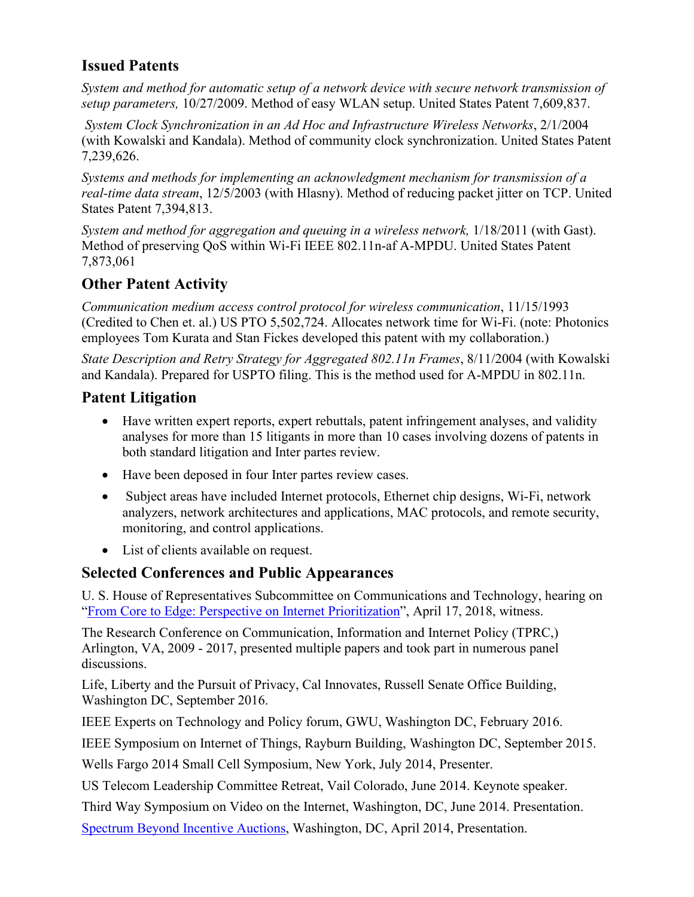### **Issued Patents**

*System and method for automatic setup of a network device with secure network transmission of setup parameters,* 10/27/2009. Method of easy WLAN setup. United States Patent 7,609,837.

*System Clock Synchronization in an Ad Hoc and Infrastructure Wireless Networks*, 2/1/2004 (with Kowalski and Kandala). Method of community clock synchronization. United States Patent 7,239,626.

*Systems and methods for implementing an acknowledgment mechanism for transmission of a real-time data stream*, 12/5/2003 (with Hlasny). Method of reducing packet jitter on TCP. United States Patent 7,394,813.

*System and method for aggregation and queuing in a wireless network,* 1/18/2011 (with Gast). Method of preserving QoS within Wi-Fi IEEE 802.11n-af A-MPDU. United States Patent 7,873,061

## **Other Patent Activity**

*Communication medium access control protocol for wireless communication*, 11/15/1993 (Credited to Chen et. al.) US PTO 5,502,724. Allocates network time for Wi-Fi. (note: Photonics employees Tom Kurata and Stan Fickes developed this patent with my collaboration.)

*State Description and Retry Strategy for Aggregated 802.11n Frames*, 8/11/2004 (with Kowalski and Kandala). Prepared for USPTO filing. This is the method used for A-MPDU in 802.11n.

## **Patent Litigation**

- Have written expert reports, expert rebuttals, patent infringement analyses, and validity analyses for more than 15 litigants in more than 10 cases involving dozens of patents in both standard litigation and Inter partes review.
- Have been deposed in four Inter partes review cases.
- Subject areas have included Internet protocols, Ethernet chip designs, Wi-Fi, network analyzers, network architectures and applications, MAC protocols, and remote security, monitoring, and control applications.
- List of clients available on request.

### **Selected Conferences and Public Appearances**

U. S. House of Representatives Subcommittee on Communications and Technology, hearing on ["From Core to Edge: Perspective on Internet Prioritization"](https://energycommerce.house.gov/hearings/from-core-to-edge-perspective-on-internet-prioritization/), April 17, 2018, witness.

The Research Conference on Communication, Information and Internet Policy (TPRC,) Arlington, VA, 2009 - 2017, presented multiple papers and took part in numerous panel discussions.

Life, Liberty and the Pursuit of Privacy, Cal Innovates, Russell Senate Office Building, Washington DC, September 2016.

IEEE Experts on Technology and Policy forum, GWU, Washington DC, February 2016.

IEEE Symposium on Internet of Things, Rayburn Building, Washington DC, September 2015.

Wells Fargo 2014 Small Cell Symposium, New York, July 2014, Presenter.

US Telecom Leadership Committee Retreat, Vail Colorado, June 2014. Keynote speaker.

Third Way Symposium on Video on the Internet, Washington, DC, June 2014. Presentation.

[Spectrum Beyond Incentive Auctions,](http://iep.gmu.edu/conference-spectrum-beyond-incentive-auctions/) Washington, DC, April 2014, Presentation.